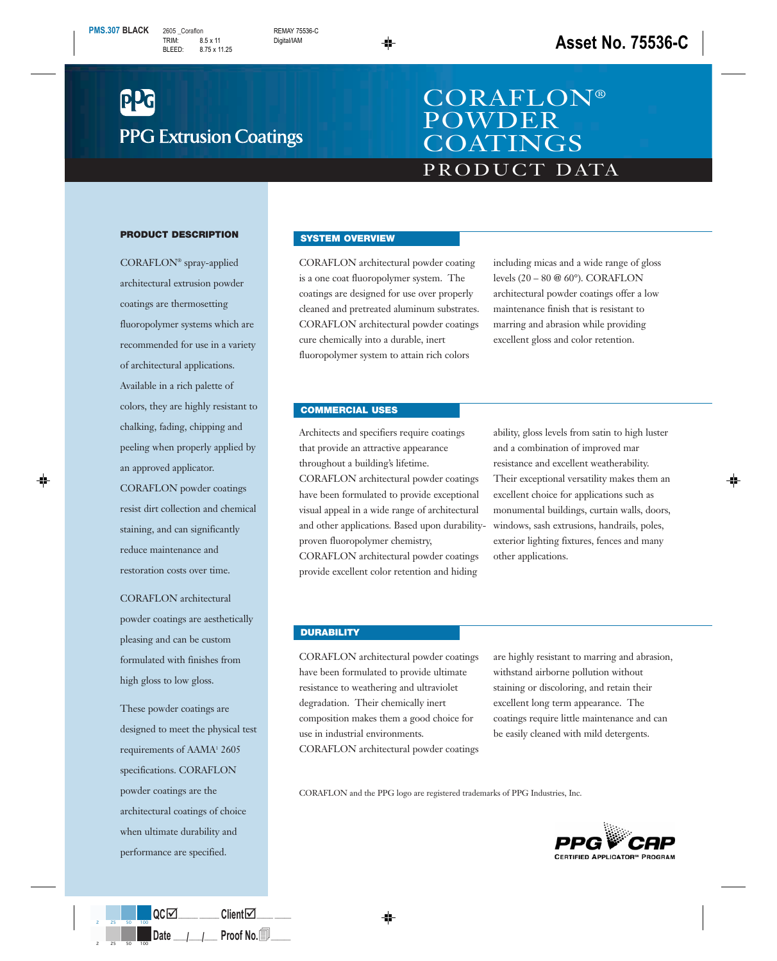# **PPG Extrusion Coatings**

## PRODUCT DATA CORAFLON® POWDER **COATINGS**

#### **PRODUCT DESCRIPTION**

CORAFLON® spray-applied architectural extrusion powder coatings are thermosetting fluoropolymer systems which are recommended for use in a variety of architectural applications. Available in a rich palette of colors, they are highly resistant to chalking, fading, chipping and peeling when properly applied by an approved applicator.

CORAFLON powder coatings resist dirt collection and chemical staining, and can significantly reduce maintenance and restoration costs over time.

CORAFLON architectural powder coatings are aesthetically pleasing and can be custom formulated with finishes from high gloss to low gloss.

These powder coatings are designed to meet the physical test requirements of AAMA<sup>1</sup> 2605 specifications. CORAFLON powder coatings are the architectural coatings of choice when ultimate durability and performance are specified.

#### **SYSTEM OVERVIEW**

CORAFLON architectural powder coating is a one coat fluoropolymer system. The coatings are designed for use over properly cleaned and pretreated aluminum substrates. CORAFLON architectural powder coatings cure chemically into a durable, inert fluoropolymer system to attain rich colors

including micas and a wide range of gloss levels (20 – 80 @ 60°). CORAFLON architectural powder coatings offer a low maintenance finish that is resistant to marring and abrasion while providing excellent gloss and color retention.

#### **COMMERCIAL USES**

Architects and specifiers require coatings that provide an attractive appearance throughout a building's lifetime. CORAFLON architectural powder coatings have been formulated to provide exceptional visual appeal in a wide range of architectural and other applications. Based upon durabilityproven fluoropolymer chemistry,

CORAFLON architectural powder coatings provide excellent color retention and hiding

ability, gloss levels from satin to high luster and a combination of improved mar resistance and excellent weatherability. Their exceptional versatility makes them an excellent choice for applications such as monumental buildings, curtain walls, doors, windows, sash extrusions, handrails, poles, exterior lighting fixtures, fences and many other applications.

#### **DURABILITY**

CORAFLON architectural powder coatings have been formulated to provide ultimate resistance to weathering and ultraviolet degradation. Their chemically inert composition makes them a good choice for use in industrial environments. CORAFLON architectural powder coatings

are highly resistant to marring and abrasion, withstand airborne pollution without staining or discoloring, and retain their excellent long term appearance. The coatings require little maintenance and can be easily cleaned with mild detergents.

CORAFLON and the PPG logo are registered trademarks of PPG Industries, Inc.